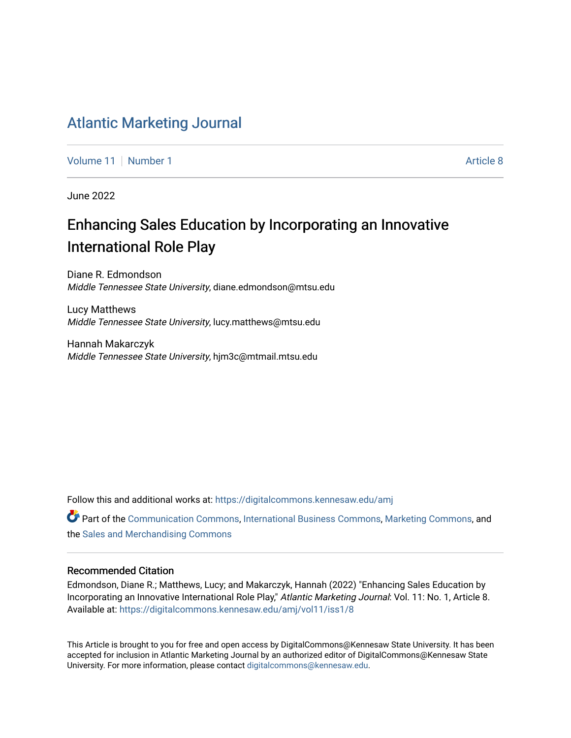## [Atlantic Marketing Journal](https://digitalcommons.kennesaw.edu/amj)

[Volume 11](https://digitalcommons.kennesaw.edu/amj/vol11) | [Number 1](https://digitalcommons.kennesaw.edu/amj/vol11/iss1) Article 8

June 2022

## Enhancing Sales Education by Incorporating an Innovative International Role Play

Diane R. Edmondson Middle Tennessee State University, diane.edmondson@mtsu.edu

Lucy Matthews Middle Tennessee State University, lucy.matthews@mtsu.edu

Hannah Makarczyk Middle Tennessee State University, hjm3c@mtmail.mtsu.edu

Follow this and additional works at: [https://digitalcommons.kennesaw.edu/amj](https://digitalcommons.kennesaw.edu/amj?utm_source=digitalcommons.kennesaw.edu%2Famj%2Fvol11%2Fiss1%2F8&utm_medium=PDF&utm_campaign=PDFCoverPages) 

**Part of the [Communication Commons,](https://network.bepress.com/hgg/discipline/325?utm_source=digitalcommons.kennesaw.edu%2Famj%2Fvol11%2Fiss1%2F8&utm_medium=PDF&utm_campaign=PDFCoverPages) [International Business Commons](https://network.bepress.com/hgg/discipline/634?utm_source=digitalcommons.kennesaw.edu%2Famj%2Fvol11%2Fiss1%2F8&utm_medium=PDF&utm_campaign=PDFCoverPages), [Marketing Commons](https://network.bepress.com/hgg/discipline/638?utm_source=digitalcommons.kennesaw.edu%2Famj%2Fvol11%2Fiss1%2F8&utm_medium=PDF&utm_campaign=PDFCoverPages), and** the [Sales and Merchandising Commons](https://network.bepress.com/hgg/discipline/646?utm_source=digitalcommons.kennesaw.edu%2Famj%2Fvol11%2Fiss1%2F8&utm_medium=PDF&utm_campaign=PDFCoverPages) 

#### Recommended Citation

Edmondson, Diane R.; Matthews, Lucy; and Makarczyk, Hannah (2022) "Enhancing Sales Education by Incorporating an Innovative International Role Play," Atlantic Marketing Journal: Vol. 11: No. 1, Article 8. Available at: [https://digitalcommons.kennesaw.edu/amj/vol11/iss1/8](https://digitalcommons.kennesaw.edu/amj/vol11/iss1/8?utm_source=digitalcommons.kennesaw.edu%2Famj%2Fvol11%2Fiss1%2F8&utm_medium=PDF&utm_campaign=PDFCoverPages) 

This Article is brought to you for free and open access by DigitalCommons@Kennesaw State University. It has been accepted for inclusion in Atlantic Marketing Journal by an authorized editor of DigitalCommons@Kennesaw State University. For more information, please contact [digitalcommons@kennesaw.edu.](mailto:digitalcommons@kennesaw.edu)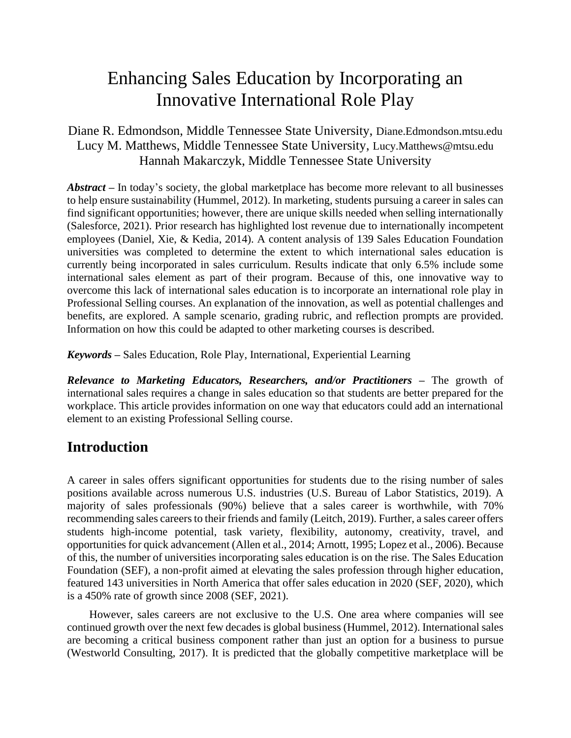# Enhancing Sales Education by Incorporating an Innovative International Role Play

## Diane R. Edmondson, Middle Tennessee State University, Diane.Edmondson.mtsu.edu Lucy M. Matthews, Middle Tennessee State University, Lucy.Matthews@mtsu.edu Hannah Makarczyk, Middle Tennessee State University

*Abstract* – In today's society, the global marketplace has become more relevant to all businesses to help ensure sustainability (Hummel, 2012). In marketing, students pursuing a career in sales can find significant opportunities; however, there are unique skills needed when selling internationally (Salesforce, 2021). Prior research has highlighted lost revenue due to internationally incompetent employees (Daniel, Xie, & Kedia, 2014). A content analysis of 139 Sales Education Foundation universities was completed to determine the extent to which international sales education is currently being incorporated in sales curriculum. Results indicate that only 6.5% include some international sales element as part of their program. Because of this, one innovative way to overcome this lack of international sales education is to incorporate an international role play in Professional Selling courses. An explanation of the innovation, as well as potential challenges and benefits, are explored. A sample scenario, grading rubric, and reflection prompts are provided. Information on how this could be adapted to other marketing courses is described.

*Keywords –* Sales Education, Role Play, International, Experiential Learning

*Relevance to Marketing Educators, Researchers, and/or Practitioners –* The growth of international sales requires a change in sales education so that students are better prepared for the workplace. This article provides information on one way that educators could add an international element to an existing Professional Selling course.

## **Introduction**

A career in sales offers significant opportunities for students due to the rising number of sales positions available across numerous U.S. industries (U.S. Bureau of Labor Statistics, 2019). A majority of sales professionals (90%) believe that a sales career is worthwhile, with 70% recommending sales careers to their friends and family (Leitch, 2019). Further, a sales career offers students high-income potential, task variety, flexibility, autonomy, creativity, travel, and opportunities for quick advancement (Allen et al., 2014; Arnott, 1995; Lopez et al., 2006). Because of this, the number of universities incorporating sales education is on the rise. The Sales Education Foundation (SEF), a non-profit aimed at elevating the sales profession through higher education, featured 143 universities in North America that offer sales education in 2020 (SEF, 2020), which is a 450% rate of growth since 2008 (SEF, 2021).

However, sales careers are not exclusive to the U.S. One area where companies will see continued growth over the next few decades is global business (Hummel, 2012). International sales are becoming a critical business component rather than just an option for a business to pursue (Westworld Consulting, 2017). It is predicted that the globally competitive marketplace will be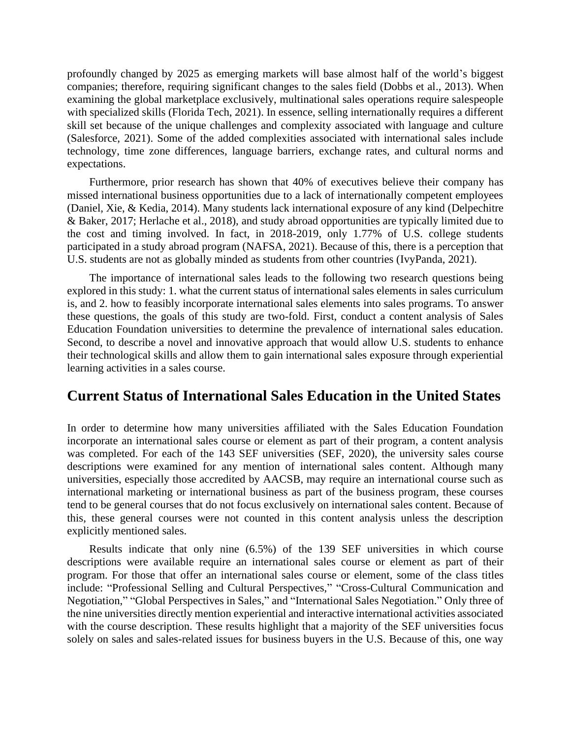profoundly changed by 2025 as emerging markets will base almost half of the world's biggest companies; therefore, requiring significant changes to the sales field (Dobbs et al., 2013). When examining the global marketplace exclusively, multinational sales operations require salespeople with specialized skills (Florida Tech, 2021). In essence, selling internationally requires a different skill set because of the unique challenges and complexity associated with language and culture (Salesforce, 2021). Some of the added complexities associated with international sales include technology, time zone differences, language barriers, exchange rates, and cultural norms and expectations.

Furthermore, prior research has shown that 40% of executives believe their company has missed international business opportunities due to a lack of internationally competent employees (Daniel, Xie, & Kedia, 2014). Many students lack international exposure of any kind (Delpechitre & Baker, 2017; Herlache et al., 2018), and study abroad opportunities are typically limited due to the cost and timing involved. In fact, in 2018-2019, only 1.77% of U.S. college students participated in a study abroad program (NAFSA, 2021). Because of this, there is a perception that U.S. students are not as globally minded as students from other countries (IvyPanda, 2021).

The importance of international sales leads to the following two research questions being explored in this study: 1. what the current status of international sales elements in sales curriculum is, and 2. how to feasibly incorporate international sales elements into sales programs. To answer these questions, the goals of this study are two-fold. First, conduct a content analysis of Sales Education Foundation universities to determine the prevalence of international sales education. Second, to describe a novel and innovative approach that would allow U.S. students to enhance their technological skills and allow them to gain international sales exposure through experiential learning activities in a sales course.

## **Current Status of International Sales Education in the United States**

In order to determine how many universities affiliated with the Sales Education Foundation incorporate an international sales course or element as part of their program, a content analysis was completed. For each of the 143 SEF universities (SEF, 2020), the university sales course descriptions were examined for any mention of international sales content. Although many universities, especially those accredited by AACSB, may require an international course such as international marketing or international business as part of the business program, these courses tend to be general courses that do not focus exclusively on international sales content. Because of this, these general courses were not counted in this content analysis unless the description explicitly mentioned sales.

Results indicate that only nine (6.5%) of the 139 SEF universities in which course descriptions were available require an international sales course or element as part of their program. For those that offer an international sales course or element, some of the class titles include: "Professional Selling and Cultural Perspectives," "Cross-Cultural Communication and Negotiation," "Global Perspectives in Sales," and "International Sales Negotiation." Only three of the nine universities directly mention experiential and interactive international activities associated with the course description. These results highlight that a majority of the SEF universities focus solely on sales and sales-related issues for business buyers in the U.S. Because of this, one way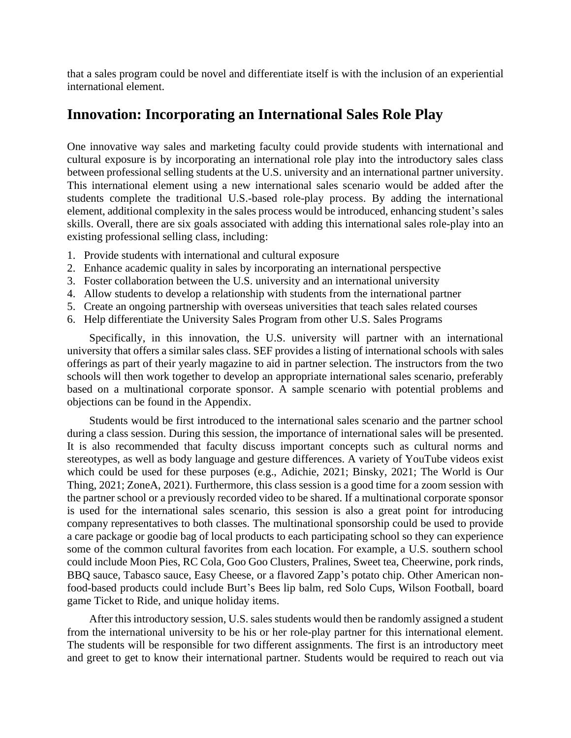that a sales program could be novel and differentiate itself is with the inclusion of an experiential international element.

## **Innovation: Incorporating an International Sales Role Play**

One innovative way sales and marketing faculty could provide students with international and cultural exposure is by incorporating an international role play into the introductory sales class between professional selling students at the U.S. university and an international partner university. This international element using a new international sales scenario would be added after the students complete the traditional U.S.-based role-play process. By adding the international element, additional complexity in the sales process would be introduced, enhancing student's sales skills. Overall, there are six goals associated with adding this international sales role-play into an existing professional selling class, including:

- 1. Provide students with international and cultural exposure
- 2. Enhance academic quality in sales by incorporating an international perspective
- 3. Foster collaboration between the U.S. university and an international university
- 4. Allow students to develop a relationship with students from the international partner
- 5. Create an ongoing partnership with overseas universities that teach sales related courses
- 6. Help differentiate the University Sales Program from other U.S. Sales Programs

Specifically, in this innovation, the U.S. university will partner with an international university that offers a similar sales class. SEF provides a listing of international schools with sales offerings as part of their yearly magazine to aid in partner selection. The instructors from the two schools will then work together to develop an appropriate international sales scenario, preferably based on a multinational corporate sponsor. A sample scenario with potential problems and objections can be found in the Appendix.

Students would be first introduced to the international sales scenario and the partner school during a class session. During this session, the importance of international sales will be presented. It is also recommended that faculty discuss important concepts such as cultural norms and stereotypes, as well as body language and gesture differences. A variety of YouTube videos exist which could be used for these purposes (e.g., Adichie, 2021; Binsky, 2021; The World is Our Thing, 2021; ZoneA, 2021). Furthermore, this class session is a good time for a zoom session with the partner school or a previously recorded video to be shared. If a multinational corporate sponsor is used for the international sales scenario, this session is also a great point for introducing company representatives to both classes. The multinational sponsorship could be used to provide a care package or goodie bag of local products to each participating school so they can experience some of the common cultural favorites from each location. For example, a U.S. southern school could include Moon Pies, RC Cola, Goo Goo Clusters, Pralines, Sweet tea, Cheerwine, pork rinds, BBQ sauce, Tabasco sauce, Easy Cheese, or a flavored Zapp's potato chip. Other American nonfood-based products could include Burt's Bees lip balm, red Solo Cups, Wilson Football, board game Ticket to Ride, and unique holiday items.

After this introductory session, U.S. sales students would then be randomly assigned a student from the international university to be his or her role-play partner for this international element. The students will be responsible for two different assignments. The first is an introductory meet and greet to get to know their international partner. Students would be required to reach out via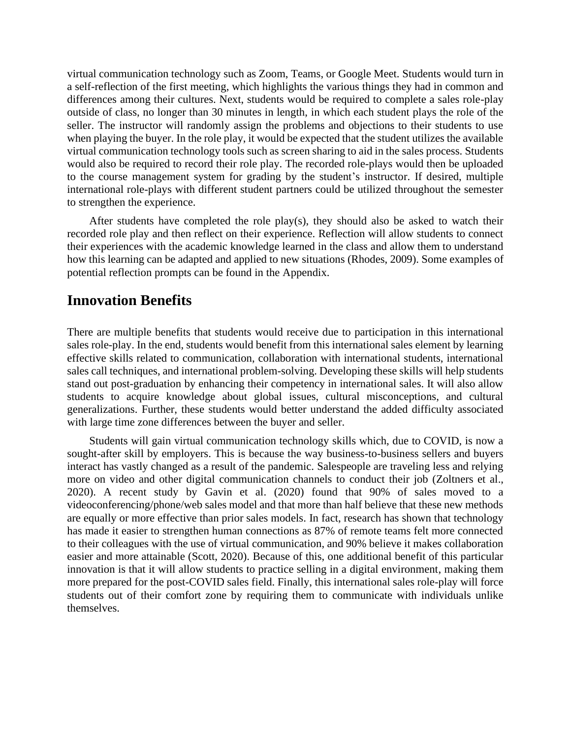virtual communication technology such as Zoom, Teams, or Google Meet. Students would turn in a self-reflection of the first meeting, which highlights the various things they had in common and differences among their cultures. Next, students would be required to complete a sales role-play outside of class, no longer than 30 minutes in length, in which each student plays the role of the seller. The instructor will randomly assign the problems and objections to their students to use when playing the buyer. In the role play, it would be expected that the student utilizes the available virtual communication technology tools such as screen sharing to aid in the sales process. Students would also be required to record their role play. The recorded role-plays would then be uploaded to the course management system for grading by the student's instructor. If desired, multiple international role-plays with different student partners could be utilized throughout the semester to strengthen the experience.

After students have completed the role play(s), they should also be asked to watch their recorded role play and then reflect on their experience. Reflection will allow students to connect their experiences with the academic knowledge learned in the class and allow them to understand how this learning can be adapted and applied to new situations (Rhodes, 2009). Some examples of potential reflection prompts can be found in the Appendix.

## **Innovation Benefits**

There are multiple benefits that students would receive due to participation in this international sales role-play. In the end, students would benefit from this international sales element by learning effective skills related to communication, collaboration with international students, international sales call techniques, and international problem-solving. Developing these skills will help students stand out post-graduation by enhancing their competency in international sales. It will also allow students to acquire knowledge about global issues, cultural misconceptions, and cultural generalizations. Further, these students would better understand the added difficulty associated with large time zone differences between the buyer and seller.

Students will gain virtual communication technology skills which, due to COVID, is now a sought-after skill by employers. This is because the way business-to-business sellers and buyers interact has vastly changed as a result of the pandemic. Salespeople are traveling less and relying more on video and other digital communication channels to conduct their job (Zoltners et al., 2020). A recent study by Gavin et al. (2020) found that 90% of sales moved to a videoconferencing/phone/web sales model and that more than half believe that these new methods are equally or more effective than prior sales models. In fact, research has shown that technology has made it easier to strengthen human connections as 87% of remote teams felt more connected to their colleagues with the use of virtual communication, and 90% believe it makes collaboration easier and more attainable (Scott, 2020). Because of this, one additional benefit of this particular innovation is that it will allow students to practice selling in a digital environment, making them more prepared for the post-COVID sales field. Finally, this international sales role-play will force students out of their comfort zone by requiring them to communicate with individuals unlike themselves.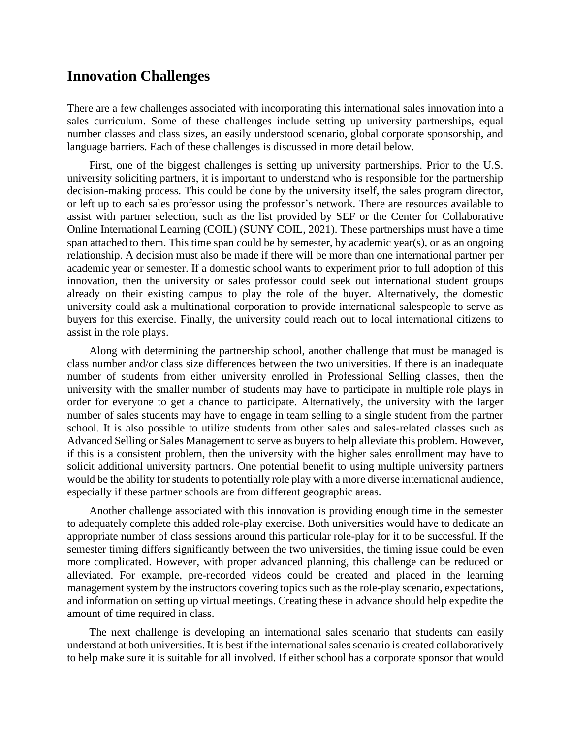## **Innovation Challenges**

There are a few challenges associated with incorporating this international sales innovation into a sales curriculum. Some of these challenges include setting up university partnerships, equal number classes and class sizes, an easily understood scenario, global corporate sponsorship, and language barriers. Each of these challenges is discussed in more detail below.

First, one of the biggest challenges is setting up university partnerships. Prior to the U.S. university soliciting partners, it is important to understand who is responsible for the partnership decision-making process. This could be done by the university itself, the sales program director, or left up to each sales professor using the professor's network. There are resources available to assist with partner selection, such as the list provided by SEF or the Center for Collaborative Online International Learning (COIL) (SUNY COIL, 2021). These partnerships must have a time span attached to them. This time span could be by semester, by academic year(s), or as an ongoing relationship. A decision must also be made if there will be more than one international partner per academic year or semester. If a domestic school wants to experiment prior to full adoption of this innovation, then the university or sales professor could seek out international student groups already on their existing campus to play the role of the buyer. Alternatively, the domestic university could ask a multinational corporation to provide international salespeople to serve as buyers for this exercise. Finally, the university could reach out to local international citizens to assist in the role plays.

Along with determining the partnership school, another challenge that must be managed is class number and/or class size differences between the two universities. If there is an inadequate number of students from either university enrolled in Professional Selling classes, then the university with the smaller number of students may have to participate in multiple role plays in order for everyone to get a chance to participate. Alternatively, the university with the larger number of sales students may have to engage in team selling to a single student from the partner school. It is also possible to utilize students from other sales and sales-related classes such as Advanced Selling or Sales Management to serve as buyers to help alleviate this problem. However, if this is a consistent problem, then the university with the higher sales enrollment may have to solicit additional university partners. One potential benefit to using multiple university partners would be the ability for students to potentially role play with a more diverse international audience, especially if these partner schools are from different geographic areas.

Another challenge associated with this innovation is providing enough time in the semester to adequately complete this added role-play exercise. Both universities would have to dedicate an appropriate number of class sessions around this particular role-play for it to be successful. If the semester timing differs significantly between the two universities, the timing issue could be even more complicated. However, with proper advanced planning, this challenge can be reduced or alleviated. For example, pre-recorded videos could be created and placed in the learning management system by the instructors covering topics such as the role-play scenario, expectations, and information on setting up virtual meetings. Creating these in advance should help expedite the amount of time required in class.

The next challenge is developing an international sales scenario that students can easily understand at both universities. It is best if the international sales scenario is created collaboratively to help make sure it is suitable for all involved. If either school has a corporate sponsor that would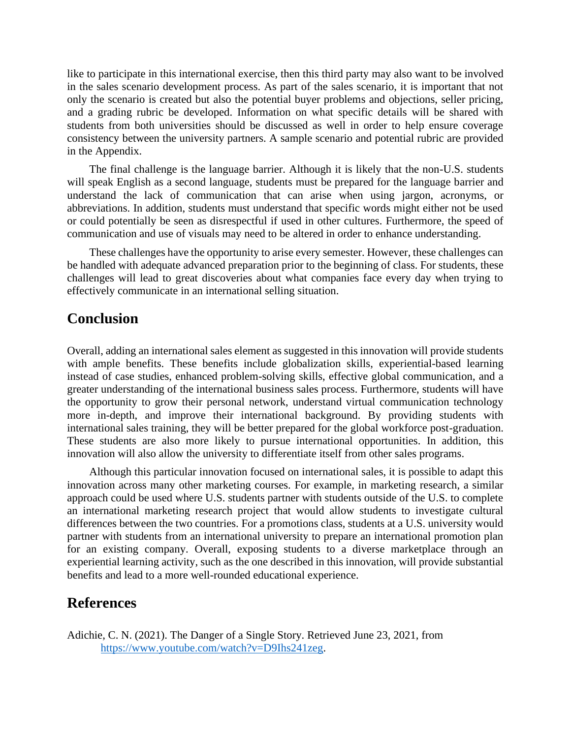like to participate in this international exercise, then this third party may also want to be involved in the sales scenario development process. As part of the sales scenario, it is important that not only the scenario is created but also the potential buyer problems and objections, seller pricing, and a grading rubric be developed. Information on what specific details will be shared with students from both universities should be discussed as well in order to help ensure coverage consistency between the university partners. A sample scenario and potential rubric are provided in the Appendix.

The final challenge is the language barrier. Although it is likely that the non-U.S. students will speak English as a second language, students must be prepared for the language barrier and understand the lack of communication that can arise when using jargon, acronyms, or abbreviations. In addition, students must understand that specific words might either not be used or could potentially be seen as disrespectful if used in other cultures. Furthermore, the speed of communication and use of visuals may need to be altered in order to enhance understanding.

These challenges have the opportunity to arise every semester. However, these challenges can be handled with adequate advanced preparation prior to the beginning of class. For students, these challenges will lead to great discoveries about what companies face every day when trying to effectively communicate in an international selling situation.

## **Conclusion**

Overall, adding an international sales element as suggested in this innovation will provide students with ample benefits. These benefits include globalization skills, experiential-based learning instead of case studies, enhanced problem-solving skills, effective global communication, and a greater understanding of the international business sales process. Furthermore, students will have the opportunity to grow their personal network, understand virtual communication technology more in-depth, and improve their international background. By providing students with international sales training, they will be better prepared for the global workforce post-graduation. These students are also more likely to pursue international opportunities. In addition, this innovation will also allow the university to differentiate itself from other sales programs.

Although this particular innovation focused on international sales, it is possible to adapt this innovation across many other marketing courses. For example, in marketing research, a similar approach could be used where U.S. students partner with students outside of the U.S. to complete an international marketing research project that would allow students to investigate cultural differences between the two countries. For a promotions class, students at a U.S. university would partner with students from an international university to prepare an international promotion plan for an existing company. Overall, exposing students to a diverse marketplace through an experiential learning activity, such as the one described in this innovation, will provide substantial benefits and lead to a more well-rounded educational experience.

### **References**

Adichie, C. N. (2021). The Danger of a Single Story. Retrieved June 23, 2021, from [https://www.youtube.com/watch?v=D9Ihs241zeg.](https://www.youtube.com/watch?v=D9Ihs241zeg)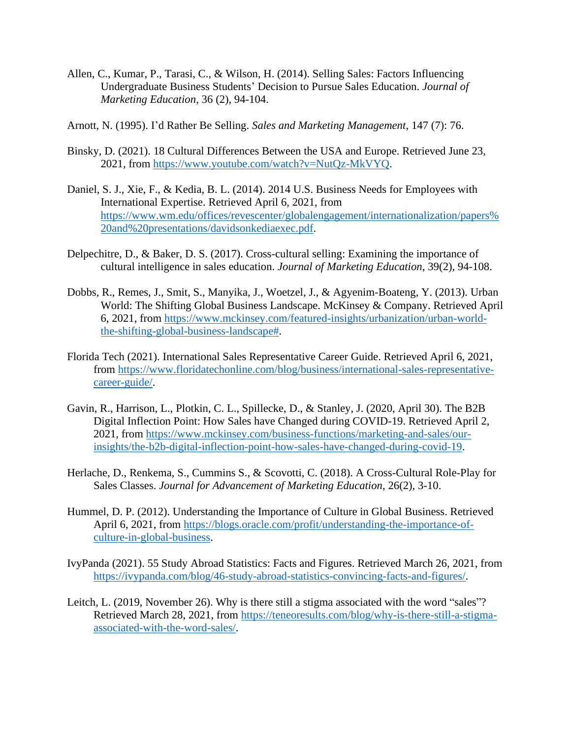- Allen, C., Kumar, P., Tarasi, C., & Wilson, H. (2014). Selling Sales: Factors Influencing Undergraduate Business Students' Decision to Pursue Sales Education. *Journal of Marketing Education*, 36 (2), 94-104.
- Arnott, N. (1995). I'd Rather Be Selling. *Sales and Marketing Management*, 147 (7): 76.
- Binsky, D. (2021). 18 Cultural Differences Between the USA and Europe. Retrieved June 23, 2021, from [https://www.youtube.com/watch?v=NutQz-MkVYQ.](https://www.youtube.com/watch?v=NutQz-MkVYQ)
- Daniel, S. J., Xie, F., & Kedia, B. L. (2014). 2014 U.S. Business Needs for Employees with International Expertise. Retrieved April 6, 2021, from [https://www.wm.edu/offices/revescenter/globalengagement/internationalization/papers%](https://www.wm.edu/offices/revescenter/globalengagement/internationalization/papers%20and%20presentations/davidsonkediaexec.pdf) [20and%20presentations/davidsonkediaexec.pdf.](https://www.wm.edu/offices/revescenter/globalengagement/internationalization/papers%20and%20presentations/davidsonkediaexec.pdf)
- Delpechitre, D., & Baker, D. S. (2017). Cross-cultural selling: Examining the importance of cultural intelligence in sales education. *Journal of Marketing Education*, 39(2), 94-108.
- Dobbs, R., Remes, J., Smit, S., Manyika, J., Woetzel, J., & Agyenim-Boateng, Y. (2013). Urban World: The Shifting Global Business Landscape. McKinsey & Company. Retrieved April 6, 2021, from [https://www.mckinsey.com/featured-insights/urbanization/urban-world](https://www.mckinsey.com/featured-insights/urbanization/urban-world-the-shifting-global-business-landscape)[the-shifting-global-business-landscape#.](https://www.mckinsey.com/featured-insights/urbanization/urban-world-the-shifting-global-business-landscape)
- Florida Tech (2021). International Sales Representative Career Guide. Retrieved April 6, 2021, from [https://www.floridatechonline.com/blog/business/international-sales-representative](https://www.floridatechonline.com/blog/business/international-sales-representative-career-guide/)[career-guide/.](https://www.floridatechonline.com/blog/business/international-sales-representative-career-guide/)
- Gavin, R., Harrison, L., Plotkin, C. L., Spillecke, D., & Stanley, J. (2020, April 30). The B2B Digital Inflection Point: How Sales have Changed during COVID-19. Retrieved April 2, 2021, from [https://www.mckinsey.com/business-functions/marketing-and-sales/our](https://www.mckinsey.com/business-functions/marketing-and-sales/our-insights/the-b2b-digital-inflection-point-how-sales-have-changed-during-covid-19)[insights/the-b2b-digital-inflection-point-how-sales-have-changed-during-covid-19.](https://www.mckinsey.com/business-functions/marketing-and-sales/our-insights/the-b2b-digital-inflection-point-how-sales-have-changed-during-covid-19)
- Herlache, D., Renkema, S., Cummins S., & Scovotti, C. (2018). A Cross-Cultural Role-Play for Sales Classes. *Journal for Advancement of Marketing Education*, 26(2), 3-10.
- Hummel, D. P. (2012). Understanding the Importance of Culture in Global Business. Retrieved April 6, 2021, from [https://blogs.oracle.com/profit/understanding-the-importance-of](https://blogs.oracle.com/profit/understanding-the-importance-of-culture-in-global-business)[culture-in-global-business.](https://blogs.oracle.com/profit/understanding-the-importance-of-culture-in-global-business)
- IvyPanda (2021). 55 Study Abroad Statistics: Facts and Figures. Retrieved March 26, 2021, from [https://ivypanda.com/blog/46-study-abroad-statistics-convincing-facts-and-figures/.](https://ivypanda.com/blog/46-study-abroad-statistics-convincing-facts-and-figures/)
- Leitch, L. (2019, November 26). Why is there still a stigma associated with the word "sales"? Retrieved March 28, 2021, from [https://teneoresults.com/blog/why-is-there-still-a-stigma](https://teneoresults.com/blog/why-is-there-still-a-stigma-associated-with-the-word-sales/)[associated-with-the-word-sales/.](https://teneoresults.com/blog/why-is-there-still-a-stigma-associated-with-the-word-sales/)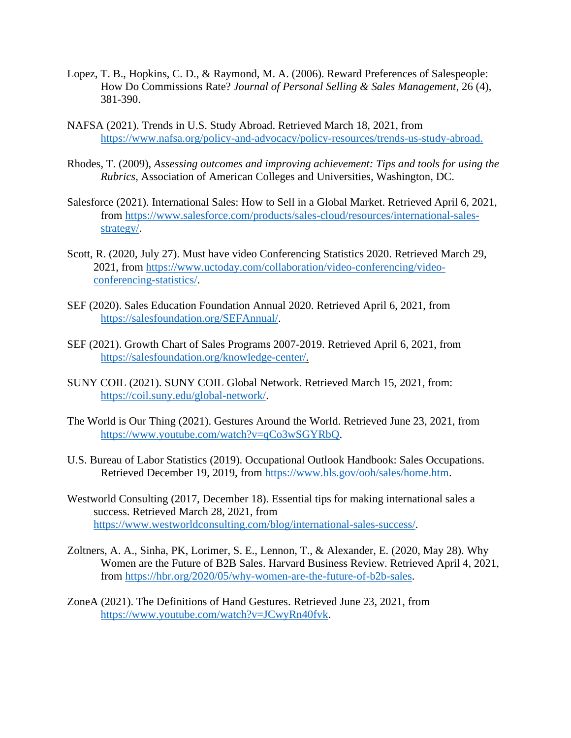- Lopez, T. B., Hopkins, C. D., & Raymond, M. A. (2006). Reward Preferences of Salespeople: How Do Commissions Rate? *Journal of Personal Selling & Sales Management*, 26 (4), 381-390.
- NAFSA (2021). Trends in U.S. Study Abroad. Retrieved March 18, 2021, from [https://www.nafsa.org/policy-and-advocacy/policy-resources/trends-us-study-abroad.](https://www.nafsa.org/policy-and-advocacy/policy-resources/trends-us-study-abroad)
- Rhodes, T. (2009), *Assessing outcomes and improving achievement: Tips and tools for using the Rubrics,* Association of American Colleges and Universities, Washington, DC.
- Salesforce (2021). International Sales: How to Sell in a Global Market. Retrieved April 6, 2021, from [https://www.salesforce.com/products/sales-cloud/resources/international-sales](https://www.salesforce.com/products/sales-cloud/resources/international-sales-strategy/)[strategy/.](https://www.salesforce.com/products/sales-cloud/resources/international-sales-strategy/)
- Scott, R. (2020, July 27). Must have video Conferencing Statistics 2020. Retrieved March 29, 2021, from [https://www.uctoday.com/collaboration/video-conferencing/video](https://www.uctoday.com/collaboration/video-conferencing/video-conferencing-statistics/)[conferencing-statistics/.](https://www.uctoday.com/collaboration/video-conferencing/video-conferencing-statistics/)
- SEF (2020). Sales Education Foundation Annual 2020. Retrieved April 6, 2021, from [https://salesfoundation.org/SEFAnnual/.](https://salesfoundation.org/SEFAnnual/)
- SEF (2021). Growth Chart of Sales Programs 2007-2019. Retrieved April 6, 2021, from [https://salesfoundation.org/knowledge-center/.](https://salesfoundation.org/knowledge-center/)
- SUNY COIL (2021). SUNY COIL Global Network. Retrieved March 15, 2021, from: [https://coil.suny.edu/global-network/.](https://coil.suny.edu/global-network/)
- The World is Our Thing (2021). Gestures Around the World. Retrieved June 23, 2021, from [https://www.youtube.com/watch?v=qCo3wSGYRbQ.](https://www.youtube.com/watch?v=qCo3wSGYRbQ)
- U.S. Bureau of Labor Statistics (2019). Occupational Outlook Handbook: Sales Occupations. Retrieved December 19, 2019, from [https://www.bls.gov/ooh/sales/home.htm.](https://www.bls.gov/ooh/sales/home.htm)
- Westworld Consulting (2017, December 18). Essential tips for making international sales a success. Retrieved March 28, 2021, from [https://www.westworldconsulting.com/blog/international-sales-success/.](https://www.westworldconsulting.com/blog/international-sales-success/)
- Zoltners, A. A., Sinha, PK, Lorimer, S. E., Lennon, T., & Alexander, E. (2020, May 28). Why Women are the Future of B2B Sales. Harvard Business Review. Retrieved April 4, 2021, from [https://hbr.org/2020/05/why-women-are-the-future-of-b2b-sales.](https://hbr.org/2020/05/why-women-are-the-future-of-b2b-sales)
- ZoneA (2021). The Definitions of Hand Gestures. Retrieved June 23, 2021, from [https://www.youtube.com/watch?v=JCwyRn40fvk.](https://www.youtube.com/watch?v=JCwyRn40fvk)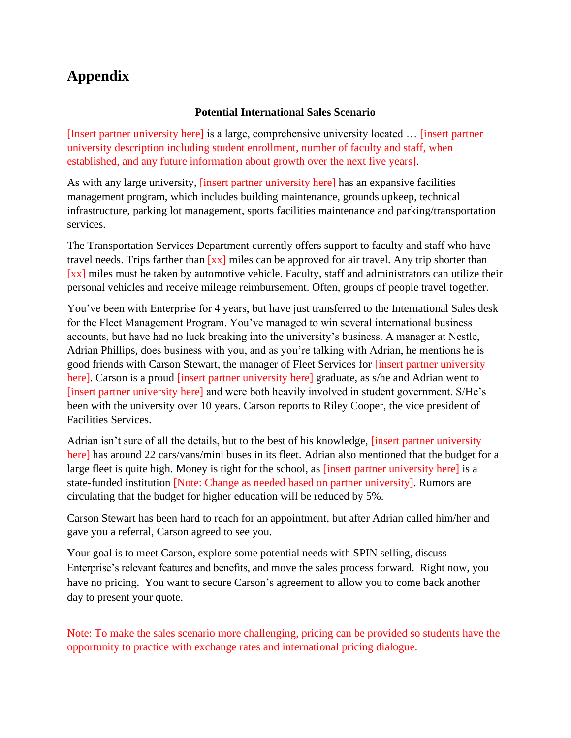## **Appendix**

### **Potential International Sales Scenario**

[Insert partner university here] is a large, comprehensive university located … [insert partner university description including student enrollment, number of faculty and staff, when established, and any future information about growth over the next five years].

As with any large university, [insert partner university here] has an expansive facilities management program, which includes building maintenance, grounds upkeep, technical infrastructure, parking lot management, sports facilities maintenance and parking/transportation services.

The Transportation Services Department currently offers support to faculty and staff who have travel needs. Trips farther than  $\left[xx\right]$  miles can be approved for air travel. Any trip shorter than [xx] miles must be taken by automotive vehicle. Faculty, staff and administrators can utilize their personal vehicles and receive mileage reimbursement. Often, groups of people travel together.

You've been with Enterprise for 4 years, but have just transferred to the International Sales desk for the Fleet Management Program. You've managed to win several international business accounts, but have had no luck breaking into the university's business. A manager at Nestle, Adrian Phillips, does business with you, and as you're talking with Adrian, he mentions he is good friends with Carson Stewart, the manager of Fleet Services for [insert partner university here]. Carson is a proud [insert partner university here] graduate, as s/he and Adrian went to [insert partner university here] and were both heavily involved in student government. S/He's been with the university over 10 years. Carson reports to Riley Cooper, the vice president of Facilities Services.

Adrian isn't sure of all the details, but to the best of his knowledge, [insert partner university here] has around 22 cars/vans/mini buses in its fleet. Adrian also mentioned that the budget for a large fleet is quite high. Money is tight for the school, as [insert partner university here] is a state-funded institution [Note: Change as needed based on partner university]. Rumors are circulating that the budget for higher education will be reduced by 5%.

Carson Stewart has been hard to reach for an appointment, but after Adrian called him/her and gave you a referral, Carson agreed to see you.

Your goal is to meet Carson, explore some potential needs with SPIN selling, discuss Enterprise's relevant features and benefits, and move the sales process forward. Right now, you have no pricing. You want to secure Carson's agreement to allow you to come back another day to present your quote.

Note: To make the sales scenario more challenging, pricing can be provided so students have the opportunity to practice with exchange rates and international pricing dialogue.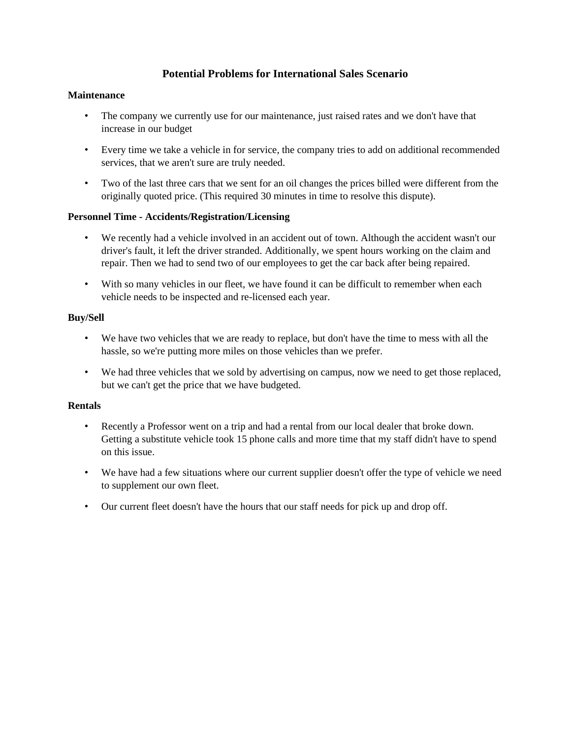### **Potential Problems for International Sales Scenario**

#### **Maintenance**

- The company we currently use for our maintenance, just raised rates and we don't have that increase in our budget
- Every time we take a vehicle in for service, the company tries to add on additional recommended services, that we aren't sure are truly needed.
- Two of the last three cars that we sent for an oil changes the prices billed were different from the originally quoted price. (This required 30 minutes in time to resolve this dispute).

### **Personnel Time - Accidents/Registration/Licensing**

- We recently had a vehicle involved in an accident out of town. Although the accident wasn't our driver's fault, it left the driver stranded. Additionally, we spent hours working on the claim and repair. Then we had to send two of our employees to get the car back after being repaired.
- With so many vehicles in our fleet, we have found it can be difficult to remember when each vehicle needs to be inspected and re-licensed each year.

### **Buy/Sell**

- We have two vehicles that we are ready to replace, but don't have the time to mess with all the hassle, so we're putting more miles on those vehicles than we prefer.
- We had three vehicles that we sold by advertising on campus, now we need to get those replaced, but we can't get the price that we have budgeted.

### **Rentals**

- Recently a Professor went on a trip and had a rental from our local dealer that broke down. Getting a substitute vehicle took 15 phone calls and more time that my staff didn't have to spend on this issue.
- We have had a few situations where our current supplier doesn't offer the type of vehicle we need to supplement our own fleet.
- Our current fleet doesn't have the hours that our staff needs for pick up and drop off.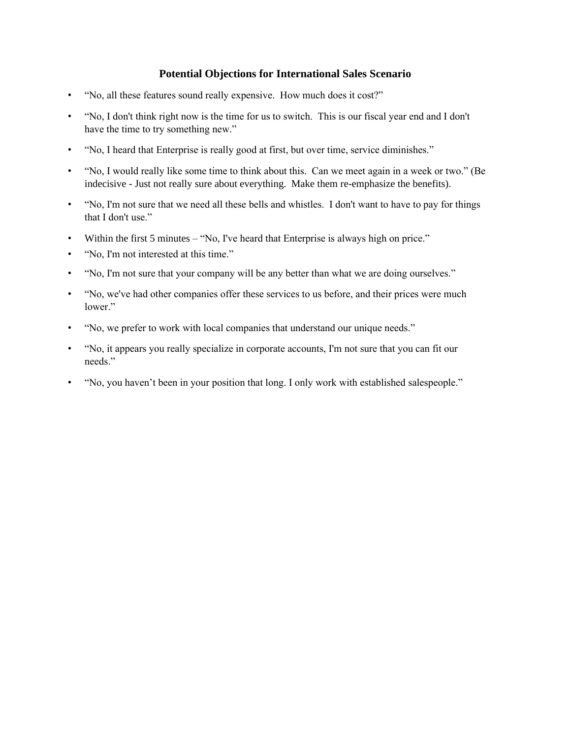### **Potential Objections for International Sales Scenario**

- "No, all these features sound really expensive. How much does it cost?"
- "No, I don't think right now is the time for us to switch. This is our fiscal year end and I don't have the time to try something new."
- "No, I heard that Enterprise is really good at first, but over time, service diminishes."
- "No, I would really like some time to think about this. Can we meet again in a week or two." (Be indecisive - Just not really sure about everything. Make them re-emphasize the benefits).
- "No, I'm not sure that we need all these bells and whistles. I don't want to have to pay for things that I don't use."
- Within the first 5 minutes "No, I've heard that Enterprise is always high on price."
- "No, I'm not interested at this time."
- "No, I'm not sure that your company will be any better than what we are doing ourselves."
- "No, we've had other companies offer these services to us before, and their prices were much lower."
- "No, we prefer to work with local companies that understand our unique needs."
- "No, it appears you really specialize in corporate accounts, I'm not sure that you can fit our needs."
- "No, you haven't been in your position that long. I only work with established salespeople."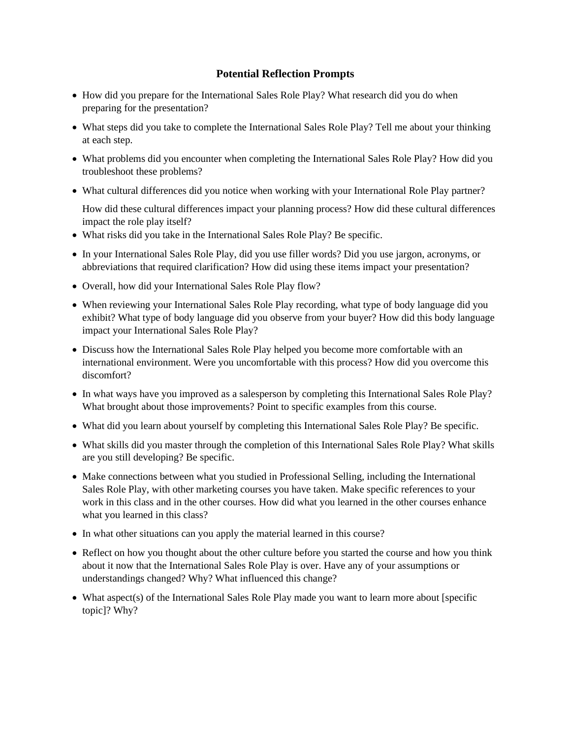### **Potential Reflection Prompts**

- How did you prepare for the International Sales Role Play? What research did you do when preparing for the presentation?
- What steps did you take to complete the International Sales Role Play? Tell me about your thinking at each step.
- What problems did you encounter when completing the International Sales Role Play? How did you troubleshoot these problems?
- What cultural differences did you notice when working with your International Role Play partner?

How did these cultural differences impact your planning process? How did these cultural differences impact the role play itself?

- What risks did you take in the International Sales Role Play? Be specific.
- In your International Sales Role Play, did you use filler words? Did you use jargon, acronyms, or abbreviations that required clarification? How did using these items impact your presentation?
- Overall, how did your International Sales Role Play flow?
- When reviewing your International Sales Role Play recording, what type of body language did you exhibit? What type of body language did you observe from your buyer? How did this body language impact your International Sales Role Play?
- Discuss how the International Sales Role Play helped you become more comfortable with an international environment. Were you uncomfortable with this process? How did you overcome this discomfort?
- In what ways have you improved as a salesperson by completing this International Sales Role Play? What brought about those improvements? Point to specific examples from this course.
- What did you learn about yourself by completing this International Sales Role Play? Be specific.
- What skills did you master through the completion of this International Sales Role Play? What skills are you still developing? Be specific.
- Make connections between what you studied in Professional Selling, including the International Sales Role Play, with other marketing courses you have taken. Make specific references to your work in this class and in the other courses. How did what you learned in the other courses enhance what you learned in this class?
- In what other situations can you apply the material learned in this course?
- Reflect on how you thought about the other culture before you started the course and how you think about it now that the International Sales Role Play is over. Have any of your assumptions or understandings changed? Why? What influenced this change?
- What aspect(s) of the International Sales Role Play made you want to learn more about [specific] topic]? Why?